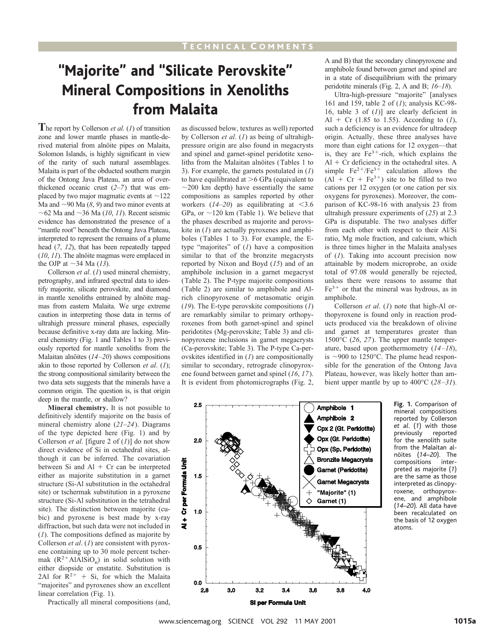# "Majorite" and "Silicate Perovskite" Mineral Compositions in Xenoliths from Malaita

**T**he report by Collerson *et al*. (*1*) of transition zone and lower mantle phases in mantle-derived material from alnöite pipes on Malaita, Solomon Islands, is highly significant in view of the rarity of such natural assemblages. Malaita is part of the obducted southern margin of the Ontong Java Plateau, an area of overthickened oceanic crust (*2*–*7*) that was emplaced by two major magmatic events at  $\sim$ 122 Ma and  $\sim$ 90 Ma ( $\delta$ ,  $\theta$ ) and two minor events at  $\sim$  62 Ma and  $\sim$  36 Ma (*10*, *11*). Recent seismic evidence has demonstrated the presence of a "mantle root" beneath the Ontong Java Plateau, interpreted to represent the remains of a plume head (*7*, *12*), that has been repeatedly tapped  $(10, 11)$ . The alnoïte magmas were emplaced in the OJP at  $\sim$ 34 Ma (13).

Collerson *et al*. (*1*) used mineral chemistry, petrography, and infrared spectral data to identify majorite, silicate perovskite, and diamond in mantle xenoliths entrained by alnöite magmas from eastern Malaita. We urge extreme caution in interpreting those data in terms of ultrahigh pressure mineral phases, especially because definitive x-ray data are lacking. Mineral chemistry (Fig. 1 and Tables 1 to 3) previously reported for mantle xenoliths from the Malaitan alnöites (14–20) shows compositions akin to those reported by Collerson *et al*. (*1*); the strong compositional similarity between the two data sets suggests that the minerals have a common origin. The question is, is that origin deep in the mantle, or shallow?

**Mineral chemistry.** It is not possible to definitively identify majorite on the basis of mineral chemistry alone (*21*–*24*). Diagrams of the type depicted here (Fig. 1) and by Collerson *et al*. [figure 2 of (*1*)] do not show direct evidence of Si in octahedral sites, although it can be inferred. The covariation between Si and  $AI + Cr$  can be interpreted either as majorite substitution in a garnet structure (Si-Al substitution in the octahedral site) or tschermak substitution in a pyroxene structure (Si-Al substitution in the tetrahedral site). The distinction between majorite (cubic) and pyroxene is best made by x-ray diffraction, but such data were not included in (*1*). The compositions defined as majorite by Collerson *et al*. (*1*) are consistent with pyroxene containing up to 30 mole percent tschermak  $(R^2 + AIAISiO_6)$  in solid solution with either diopside or enstatite. Substitution is 2Al for  $R^{2+}$  + Si, for which the Malaita "majorites" and pyroxenes show an excellent linear correlation (Fig. 1).

Practically all mineral compositions (and,

as discussed below, textures as well) reported by Collerson *et al*. (*1*) as being of ultrahighpressure origin are also found in megacrysts and spinel and garnet-spinel peridotite xenoliths from the Malaitan alnöites (Tables 1 to 3). For example, the garnets postulated in (*1*) to have equilibrated at  $>6$  GPa (equivalent to  $\sim$ 200 km depth) have essentially the same compositions as samples reported by other workers  $(14–20)$  as equilibrating at <3.6 GPa, or  $\sim$ 120 km (Table 1). We believe that the phases described as majorite and perovskite in (*1*) are actually pyroxenes and amphiboles (Tables 1 to 3). For example, the Etype "majorites" of (*1*) have a composition similar to that of the bronzite megacrysts reported by Nixon and Boyd (*15*) and of an amphibole inclusion in a garnet megacryst (Table 2). The P-type majorite compositions (Table 2) are similar to amphibole and Alrich clinopyroxene of metasomatic origin (*19*). The E-type perovskite compositions (*1*) are remarkably similar to primary orthopyroxenes from both garnet-spinel and spinel peridotites (Mg-perovskite; Table 3) and clinopyroxene inclusions in garnet megacrysts (Ca-perovskite; Table 3). The P-type Ca-perovskites identified in (*1*) are compositionally similar to secondary, retrograde clinopyroxene found between garnet and spinel (*16*, *17*). It is evident from photomicrographs (Fig. 2, A and B) that the secondary clinopyroxene and amphibole found between garnet and spinel are in a state of disequilibrium with the primary peridotite minerals (Fig. 2, A and B; *16*–*18*).

Ultra-high-pressure "majorite" [analyses 161 and 159, table 2 of (*1*); analysis KC-98- 16, table 3 of (*1*)] are clearly deficient in Al + Cr (1.85 to 1.55). According to  $(I)$ , such a deficiency is an evidence for ultradeep origin. Actually, these three analyses have more than eight cations for 12 oxygen—that is, they are  $Fe<sup>3+</sup>$ -rich, which explains the  $Al + Cr$  deficiency in the octahedral sites. A simple  $Fe^{2+}/Fe^{3+}$  calculation allows the  $(Al + Cr + Fe<sup>3+</sup>)$  site to be filled to two cations per 12 oxygen (or one cation per six oxygens for pyroxenes). Moreover, the comparison of KC-98-16 with analysis 23 from ultrahigh pressure experiments of (*25*) at 2.3 GPa is disputable. The two analyses differ from each other with respect to their Al/Si ratio, Mg mole fraction, and calcium, which is three times higher in the Malaita analyses of (*1*). Taking into account precision now attainable by modern microprobe, an oxide total of 97.08 would generally be rejected, unless there were reasons to assume that  $Fe<sup>3+</sup>$  or that the mineral was hydrous, as in amphibole.

Collerson *et al*. (*1*) note that high-Al orthopyroxene is found only in reaction products produced via the breakdown of olivine and garnet at temperatures greater than 1500°C (*26*, *27*). The upper mantle temperature, based upon geothermometry (*14–18*), is  $\sim$ 900 to 1250 $\degree$ C. The plume head responsible for the generation of the Ontong Java Plateau, however, was likely hotter than ambient upper mantle by up to 400°C (*28–31*).



**Fig. 1.** Comparison of mineral compositions reported by Collerson *et al*. (*1*) with those previously for the xenolith suite from the Malaitan alno¨ites (*14*–*20*). The compositions interpreted as majorite (*1*) are the same as those interpreted as clinopyroxene, orthopyroxene, and amphibole (*14*–*20*). All data have been recalculated on the basis of 12 oxygen atoms.

www.sciencemag.org SCIENCE VOL 292 11 MAY 2001 1015 1015a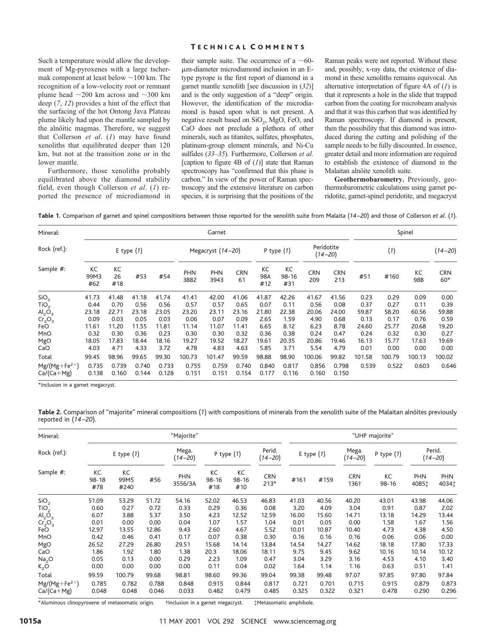# T ECHNICAL C OMMENTS

Such a temperature would allow the development of Mg-pyroxenes with a large tschermak component at least below  $\sim$ 100 km. The recognition of a low-velocity root or remnant plume head  $\sim$ 200 km across and  $\sim$ 300 km deep (*7*, *12*) provides a hint of the effect that the surfacing of the hot Ontong Java Plateau plume likely had upon the mantle sampled by the alnöitic magmas. Therefore, we suggest that Collerson *et al*. (*1*) may have found xenoliths that equilibrated deeper than 120 km, but not at the transition zone or in the lower mantle.

Furthermore, those xenoliths probably equilibrated above the diamond stability field, even though Collerson *et al*. (*1*) reported the presence of microdiamond in

their sample suite. The occurrence of a  $\sim$ 60mm-diameter microdiamond inclusion in an Etype pyrope is the first report of diamond in a garnet mantle xenolith [see discussion in (*32*)] and is the only suggestion of a "deep" origin. However, the identification of the microdiamond is based upon what is not present. A negative result based on SiO<sub>2</sub>, MgO, FeO, and CaO does not preclude a plethora of other minerals, such as titanites, sulfates, phosphates, platinum-group element minerals, and Ni-Cu sulfides (*33*–*35*). Furthermore, Collerson *et al*. [caption to figure 4B of (*1*)] state that Raman spectroscopy has "confirmed that this phase is carbon." In view of the power of Raman spectroscopy and the extensive literature on carbon species, it is surprising that the positions of the

Raman peaks were not reported. Without these and, possibly, x-ray data, the existence of diamond in these xenoliths remains equivocal. An alternative interpretation of figure 4A of (*1*) is that it represents a hole in the slide that trapped carbon from the coating for microbeam analysis and that it was this carbon that was identified by Raman spectroscopy. If diamond is present, then the possibility that this diamond was introduced during the cutting and polishing of the sample needs to be fully discounted. In essence, greater detail and more information are required to establish the existence of diamond in the Malaitan alnöite xenolith suite.

**Geothermobarometry.** Previously, geothermobarometric calculations using garnet peridotite, garnet-spinel peridotite, and megacryst

**Table 1.** Comparison of garnet and spinel compositions between those reported for the xenolith suite from Malaita (*14 –20*) and those of Collerson *et al*. (*1*).

| Mineral:<br>Rock (ref.):<br>Sample #: | Garnet            |                 |                |                |                   |                    |                  |                  |                        |                           | Spinel            |        |        |           |                   |
|---------------------------------------|-------------------|-----------------|----------------|----------------|-------------------|--------------------|------------------|------------------|------------------------|---------------------------|-------------------|--------|--------|-----------|-------------------|
|                                       | E type $(1)$      |                 |                |                | Megacryst (14-20) |                    |                  | P type $(1)$     |                        | Peridotite<br>$(14 - 20)$ |                   | (1)    |        |           | $(14 - 20)$       |
|                                       | КC<br>99M3<br>#62 | KC<br>26<br>#18 | #53            | #54            | PHN<br>3882       | <b>PHN</b><br>3943 | <b>CRN</b><br>61 | КC<br>98A<br>#12 | КC<br>$98 - 16$<br>#31 | <b>CRN</b><br>209         | <b>CRN</b><br>213 | #51    | #160   | КC<br>98B | <b>CRN</b><br>60* |
| SiO <sub>2</sub>                      | 41.73             | 41.48           | 41.18          | 41.74          | 41.41             | 42.00              | 41.06            | 41.87            | 42.26                  | 41.67                     | 41.56             | 0.23   | 0.29   | 0.09      | 0.00              |
| TiO <sub>2</sub>                      | 0.44              | 0.70            | 0.56           | 0.56           | 0.57              | 0.57               | 0.65             | 0.07             | 0.11                   | 0.56                      | 0.08              | 0.37   | 0.27   | 0.11      | 0.39              |
| $\text{Al}_2\text{O}_3$               | 23.18             | 22.71           | 23.18          | 23.05          | 23.20             | 23.11              | 23.16            | 21.80            | 22.38                  | 20.06                     | 24.00             | 59.87  | 58.20  | 60.56     | 59.88             |
| Cr <sub>2</sub> O <sub>3</sub>        | 0.09              | 0.03            | 0.05           | 0.03           | 0.06              | 0.07               | 0.09             | 2.65             | 1.59                   | 4.90                      | 0.68              | 0.13   | 0.17   | 0.76      | 0.59              |
| FeO                                   | 11.61             | 11.20           | 11.55          | 11.81          | 11.14             | 11.07              | 11.41            | 6.65             | 8.12                   | 6.23                      | 8.78              | 24.60  | 25.77  | 20.68     | 19.20             |
| MnO                                   | 0.32              | 0.30            | 0.36           | 0.23           | 0.30              | 0.30               | 0.32             | 0.36             | 0.38                   | 0.24                      | 0.47              | 0.24   | 0.32   | 0.30      | 0.27              |
| MgO                                   | 18.05             | 17.83           | 18.44          | 18.16          | 19.27             | 19.52              | 18.27            | 19.61            | 20.35                  | 20.86                     | 19.46             | 16.13  | 15.77  | 17.63     | 19.69             |
| CaO                                   | 4.03              | 4.71            | 4.33           | 3.72           | 4.78              | 4.83               | 4.63             | 5.85             | 3.71                   | 5.54                      | 4.79              | 0.01   | 0.00   | 0.00      | 0.00              |
| Total                                 | 99.45             | 98.96           | 99.65          | 99.30          | 100.73            | 101.47             | 99.59            | 98.88            | 98.90                  | 100.06                    | 99.82             | 101.58 | 100.79 | 100.13    | 100.02            |
| $Mg/(Mg + Fe^{2+})$<br>$Ca/(Ca+Mg)$   | 0.735<br>0.138    | 0.739<br>0.160  | 0.740<br>0.144 | 0.733<br>0.128 | 0.755<br>0.151    | 0.759<br>0.151     | 0.740<br>0.154   | 0.840<br>0.177   | 0.817<br>0.116         | 0.856<br>0.160            | 0.798<br>0.150    | 0.539  | 0.522  | 0.603     | 0.646             |

\*Inclusion in a garnet megacryst.

| Mineral:<br>Rock (ref.):<br>Sample #: | "Majorite"             |                    |       |                      |                        |                    |                       |              | "UHP majorite" |                      |                 |                       |                     |  |  |
|---------------------------------------|------------------------|--------------------|-------|----------------------|------------------------|--------------------|-----------------------|--------------|----------------|----------------------|-----------------|-----------------------|---------------------|--|--|
|                                       | E type $(1)$           |                    |       | Mega.<br>$(14 - 20)$ | P type $(1)$           |                    | Perid.<br>$(14 - 20)$ | E type $(1)$ |                | Mega.<br>$(14 - 20)$ | P type $(1)$    | Perid.<br>$(14 - 20)$ |                     |  |  |
|                                       | КC<br>$98 - 18$<br>#78 | KC<br>99M5<br>#240 | #56   | PHN<br>3556/3A       | KC<br>$98 - 16$<br>#18 | КC<br>98-16<br>#10 | <b>CRN</b><br>$213*$  | #161         | #159           | <b>CRN</b><br>136†   | KC<br>$98 - 16$ | <b>PHN</b><br>40851   | <b>PHN</b><br>40341 |  |  |
| SiO <sub>2</sub>                      | 51.09                  | 53.29              | 51.72 | 54.16                | 52.02                  | 46.53              | 46.83                 | 41.03        | 40.56          | 40.20                | 43.01           | 43.98                 | 44.06               |  |  |
| TiO <sub>2</sub>                      | 0.60                   | 0.27               | 0.72  | 0.33                 | 0.29                   | 0.36               | 0.08                  | 3.20         | 4.09           | 3.04                 | 0.91            | 0.87                  | 2.02                |  |  |
| $\text{Al}_2\text{O}_3$               | 6.07                   | 3.88               | 5.37  | 3.50                 | 4.23                   | 12.52              | 12.59                 | 16.00        | 15.60          | 14.71                | 13.18           | 14.29                 | 13.44               |  |  |
| Cr <sub>2</sub> O <sub>3</sub>        | 0.01                   | 0.00               | 0.00  | 0.04                 | 1.07                   | 1.57               | 1.04                  | 0.01         | 0.05           | 0.00                 | 1.58            | 1.67                  | 1.56                |  |  |
| FeO                                   | 12.97                  | 13.55              | 12.86 | 9.43                 | 2.60                   | 4.67               | 5.52                  | 10.01        | 10.87          | 10.40                | 4.73            | 4.38                  | 4.50                |  |  |
| MnO                                   | 0.42                   | 0.46               | 0.41  | 0.17                 | 0.07                   | 0.38               | 0.30                  | 0.16         | 0.16           | 0.16                 | 0.06            | 0.06                  | 0.00                |  |  |
| MgO                                   | 26.52                  | 27.29              | 26.80 | 29.51                | 15.68                  | 14.14              | 13.84                 | 14.54        | 14.27          | 14.62                | 18.18           | 17.80                 | 17.33               |  |  |
| CaO                                   | 1.86                   | 1.92               | 1.80  | 1.38                 | 20.3                   | 18.06              | 18.11                 | 9.75         | 9.45           | 9.62                 | 10.16           | 10.14                 | 10.12               |  |  |
| Na <sub>2</sub> O                     | 0.05                   | 0.13               | 0.00  | 0.29                 | 2.23                   | 1.09               | 0.47                  | 3.04         | 3.29           | 3.16                 | 4.53            | 4.10                  | 3.40                |  |  |
| K <sub>2</sub> O                      | 0.00                   | 0.00               | 0.00  | 0.00                 | 0.11                   | 0.04               | 0.02                  | 1.64         | 1.14           | 1.16                 | 0.63            | 0.51                  | 1.41                |  |  |
| Total                                 | 99.59                  | 100.79             | 99.68 | 98.81                | 98.60                  | 99.36              | 99.04                 | 99.38        | 99.48          | 97.07                | 97.85           | 97.80                 | 97.84               |  |  |
| $Mg/(Mg + Fe^{2+})$                   | 0.785                  | 0.782              | 0.788 | 0.848                | 0.915                  | 0.844              | 0.817                 | 0.721        | 0.701          | 0.715                | 0.915           | 0.879                 | 0.873               |  |  |
| $Ca/(Ca+Mg)$                          | 0.048                  | 0.048              | 0.046 | 0.033                | 0.482                  | 0.479              | 0.485                 | 0.325        | 0.322          | 0.321                | 0.478           | 0.290                 | 0.296               |  |  |

Table 2. Comparison of "majorite" mineral compositions (1) with compositions of minerals from the xenolith suite of the Malaitan alnöites previously reported in (*14 –20*).

\*Aluminous clinopyroxene of metasomatic origin. †Inclusion in a garnet megacryst. ‡Metasomatic amphibole.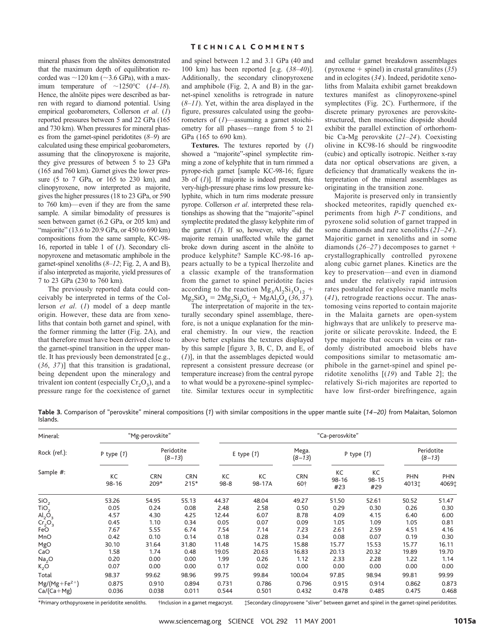mineral phases from the alnöites demonstrated that the maximum depth of equilibration recorded was  $\sim$ 120 km ( $\sim$ 3.6 GPa), with a maximum temperature of  $\sim$ 1250°C (14–18). Hence, the alnoïte pipes were described as barren with regard to diamond potential. Using empirical geobarometers, Collerson *et al*. (*1*) reported pressures between 5 and 22 GPa (165 and 730 km). When pressures for mineral phases from the garnet-spinel peridotites (*8*–*9*) are calculated using these empirical geobarometers, assuming that the clinopyroxene is majorite, they give pressures of between 5 to 23 GPa (165 and 760 km). Garnet gives the lower pressure (5 to 7 GPa, or 165 to 230 km), and clinopyroxene, now interpreted as majorite, gives the higher pressures (18 to 23 GPa, or 590 to 760 km)—even if they are from the same sample. A similar bimodality of pressures is seen between garnet (6.2 GPa, or 205 km) and "majorite" (13.6 to 20.9 GPa, or 450 to 690 km) compositions from the same sample, KC-98- 16, reported in table 1 of (*1*). Secondary clinopyroxene and metasomatic amphibole in the garnet-spinel xenoliths (*8*–*12*; Fig. 2, A and B), if also interpreted as majorite, yield pressures of 7 to 23 GPa (230 to 760 km).

The previously reported data could conceivably be interpreted in terms of the Collerson *et al*. (*1*) model of a deep mantle origin. However, these data are from xenoliths that contain both garnet and spinel, with the former rimming the latter (Fig. 2A), and that therefore must have been derived close to the garnet-spinel transition in the upper mantle. It has previously been demonstrated [e.g., (*36*, *37*)] that this transition is gradational, being dependent upon the mineralogy and trivalent ion content (especially  $Cr_2O_3$ ), and a pressure range for the coexistence of garnet

# T ECHNICAL C OMMENTS

and spinel between 1.2 and 3.1 GPa (40 and 100 km) has been reported [e.g. (*38*–*40*)]. Additionally, the secondary clinopyroxene and amphibole (Fig. 2, A and B) in the garnet-spinel xenoliths is retrograde in nature  $(8–11)$ . Yet, within the area displayed in the figure, pressures calculated using the geobarometers of (*1*)—assuming a garnet stoichiometry for all phases—range from 5 to 21 GPa (165 to 690 km).

**Textures.** The textures reported by (*1*) showed a "majorite"-spinel symplectite rimming a zone of kelyphite that in turn rimmed a pyrope-rich garnet [sample KC-98-16; figure 3b of (*1*)]. If majorite is indeed present, this very-high-pressure phase rims low pressure kelyphite, which in turn rims moderate pressure pyrope. Collerson *et al*. interpreted these relationships as showing that the "majorite"-spinel symplectite predated the glassy kelyphite rim of the garnet (*1*). If so, however, why did the majorite remain unaffected while the garnet broke down during ascent in the alnöite to produce kelyphite? Sample KC-98-16 appears actually to be a typical lherzolite and a classic example of the transformation from the garnet to spinel peridotite facies according to the reaction  $Mg_3Al_2Si_3O_{12}$  +  $Mg_2SiO_4 = 2Mg_2Si_2O_6 + MgAl_2O_4$  (36, 37).

The interpretation of majorite in the texturally secondary spinel assemblage, therefore, is not a unique explanation for the mineral chemistry. In our view, the reaction above better explains the textures displayed by this sample [figure 3, B, C, D, and E, of (*1*)], in that the assemblages depicted would represent a consistent pressure decrease (or temperature increase) from the central pyrope to what would be a pyroxene-spinel symplectite. Similar textures occur in symplectitic

and cellular garnet breakdown assemblages (pyroxene  $+$  spinel) in crustal granulites (35) and in eclogites (*34*). Indeed, peridotite xenoliths from Malaita exhibit garnet breakdown textures manifest as clinopyroxene-spinel symplectites (Fig. 2C). Furthermore, if the discrete primary pyroxenes are perovskitestructured, then monoclinic diopside should exhibit the parallel extinction of orthorhombic Ca-Mg perovskite (*21*–*24*). Coexisting olivine in KC98-16 should be ringwoodite (cubic) and optically isotropic. Neither x-ray data nor optical observations are given, a deficiency that dramatically weakens the interpretation of the mineral assemblages as originating in the transition zone.

Majorite is preserved only in transiently shocked meteorites, rapidly quenched experiments from high *P-T* conditions, and pyroxene solid solution of garnet trapped in some diamonds and rare xenoliths (*21*–*24*). Majoritic garnet in xenoliths and in some diamonds  $(26-27)$  decomposes to garnet + crystallographically controlled pyroxene along cubic garnet planes. Kinetics are the key to preservation—and even in diamond and under the relatively rapid intrusion rates postulated for explosive mantle melts (*41*), retrograde reactions occur. The anastomosing veins reported to contain majorite in the Malaita garnets are open-system highways that are unlikely to preserve majorite or silicate perovskite. Indeed, the E type majorite that occurs in veins or randomly distributed amoeboid blebs have compositions similar to metasomatic amphibole in the garnet-spinel and spinel peridotite xenoliths [(*19*) and Table 2]; the relatively Si-rich majorites are reported to have low first-order birefringence, again

**Table 3.** Comparison of "perovskite" mineral compositions (*1*) with similar compositions in the upper mantle suite (*14 –20)* from Malaitan, Solomon Islands.

| Mineral:<br>Rock (ref.):<br>Sample #: |                 | "Mg-perovskite"    |                        | "Ca-perosvkite" |              |                   |                        |                        |                        |                     |  |  |
|---------------------------------------|-----------------|--------------------|------------------------|-----------------|--------------|-------------------|------------------------|------------------------|------------------------|---------------------|--|--|
|                                       | P type $(1)$    |                    | Peridotite<br>$(8-13)$ |                 | E type $(1)$ | Mega.<br>$(8-13)$ |                        | P type $(1)$           | Peridotite<br>$(8-13)$ |                     |  |  |
|                                       | KC<br>$98 - 16$ | <b>CRN</b><br>209* | <b>CRN</b><br>$215*$   | КC<br>$98 - 8$  | KC<br>98-17A | <b>CRN</b><br>60† | КC<br>$98 - 16$<br>#23 | КC<br>$98 - 15$<br>#29 | PHN<br>40131           | <b>PHN</b><br>4069‡ |  |  |
| SiO <sub>2</sub>                      | 53.26           | 54.95              | 55.13                  | 44.37           | 48.04        | 49.27             | 51.50                  | 52.61                  | 50.52                  | 51.47               |  |  |
| TiO <sub>2</sub>                      | 0.05            | 0.24               | 0.08                   | 2.48            | 2.58         | 0.50              | 0.29                   | 0.30                   | 0.26                   | 0.30                |  |  |
| $\mathsf{Al}_2\mathsf{O}_3$           | 4.57            | 4.30               | 4.25                   | 12.44           | 6.07         | 8.78              | 4.09                   | 4.15                   | 6.40                   | 6.00                |  |  |
| Cr <sub>2</sub> O <sub>3</sub>        | 0.45            | 1.10               | 0.34                   | 0.05            | 0.07         | 0.09              | 1.05                   | 1.09                   | 1.05                   | 0.81                |  |  |
| FeO                                   | 7.67            | 5.55               | 6.74                   | 7.54            | 7.14         | 7.23              | 2.61                   | 2.59                   | 4.51                   | 4.16                |  |  |
| MnO                                   | 0.42            | 0.10               | 0.14                   | 0.18            | 0.28         | 0.34              | 0.08                   | 0.07                   | 0.19                   | 0.30                |  |  |
| MgO                                   | 30.10           | 31.64              | 31.80                  | 11.48           | 14.75        | 15.88             | 15.77                  | 15.53                  | 15.77                  | 16.11               |  |  |
| CaO                                   | 1.58            | 1.74               | 0.48                   | 19.05           | 20.63        | 16.83             | 20.13                  | 20.32                  | 19.89                  | 19.70               |  |  |
| Na <sub>2</sub> O                     | 0.20            | 0.00               | 0.00                   | 1.99            | 0.26         | 1.12              | 2.33                   | 2.28                   | 1.22                   | 1.14                |  |  |
| K <sub>2</sub> O                      | 0.07            | 0.00               | 0.00                   | 0.17            | 0.02         | 0.00              | 0.00                   | 0.00                   | 0.00                   | 0.00                |  |  |
| Total                                 | 98.37           | 99.62              | 98.96                  | 99.75           | 99.84        | 100.04            | 97.85                  | 98.94                  | 99.81                  | 99.99               |  |  |
| $Mg/(Mg + Fe^{2+})$                   | 0.875           | 0.910              | 0.894                  | 0.731           | 0.786        | 0.796             | 0.915                  | 0.914                  | 0.862                  | 0.873               |  |  |
| $Ca/(Ca+Mg)$                          | 0.036           | 0.038              | 0.011                  | 0.544           | 0.501        | 0.432             | 0.478                  | 0.485                  | 0.475                  | 0.468               |  |  |

\*Primary orthopyroxene in peridotite xenoliths. †Inclusion in a garnet megacryst. ‡Secondary clinopyroxene "sliver" between garnet and spinel in the garnet-spinel peridotites.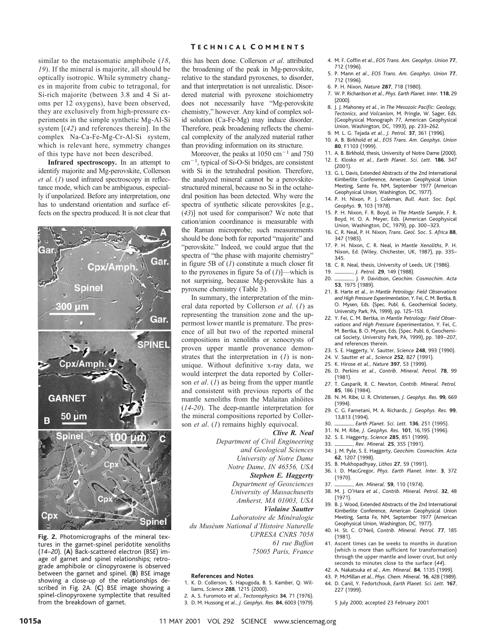similar to the metasomatic amphibole (*18*, *19*). If the mineral is majorite, all should be optically isotropic. While symmetry changes in majorite from cubic to tetragonal, for Si-rich majorite (between 3.8 and 4 Si atoms per 12 oxygens), have been observed, they are exclusively from high-pressure experiments in the simple synthetic Mg-Al-Si system [(*42*) and references therein]. In the complex Na-Ca-Fe-Mg-Cr-Al-Si system, which is relevant here, symmetry changes of this type have not been described.

**Infrared spectroscopy.** In an attempt to identify majorite and Mg-perovskite, Collerson *et al*. (*1*) used infrared spectroscopy in reflectance mode, which can be ambiguous, especially if unpolarized. Before any interpretation, one has to understand orientation and surface effects on the spectra produced. It is not clear that



**Fig. 2.** Photomicrographs of the mineral textures in the garnet-spinel peridotite xenoliths (*14*–*20*). (**A**) Back-scattered electron (BSE) image of garnet and spinel relationships; retrograde amphibole or clinopyroxene is observed between the garnet and spinel. (**B**) BSE image showing a close-up of the relationships described in Fig. 2A. (**C**) BSE image showing a spinel-clinopyroxene symplectite that resulted from the breakdown of garnet.

# T ECHNICAL C OMMENTS

this has been done. Collerson *et al*. attributed the broadening of the peak in Mg-perovskite, relative to the standard pyroxenes, to disorder, and that interpretation is not unrealistic. Disordered material with pyroxene stoichiometry does not necessarily have "Mg-perovskite chemistry," however. Any kind of complex solid solution (Ca-Fe-Mg) may induce disorder. Therefore, peak broadening reflects the chemical complexity of the analyzed material rather than providing information on its structure.

Moreover, the peaks at  $1050 \text{ cm}^{-1}$  and 750  $cm^{-1}$ , typical of Si-O-Si bridges, are consistent with Si in the tetrahedral position. Therefore, the analyzed mineral cannot be a perovskitestructured mineral, because no Si in the octahedral position has been detected. Why were the spectra of synthetic silicate perovskites [e.g., (*43*)] not used for comparison? We note that cation/anion coordinance is measurable with the Raman microprobe; such measurements should be done both for reported "majorite" and "perovskite." Indeed, we could argue that the spectra of "the phase with majorite chemistry" in figure 5B of (*1*) constitute a much closer fit to the pyroxenes in figure 5a of (*1*)]—which is not surprising, because Mg-perovskite has a pyroxene chemistry (Table 3).

In summary, the interpretation of the mineral data reported by Collerson *et al*. (*1*) as representing the transition zone and the uppermost lower mantle is premature. The presence of all but two of the reported mineral compositions in xenoliths or xenocrysts of proven upper mantle provenance demonstrates that the interpretation in (*1*) is nonunique. Without definitive x-ray data, we would interpret the data reported by Collerson *et al*. (*1*) as being from the upper mantle and consistent with previous reports of the mantle xenoliths from the Malaitan alnöites (*14-20*). The deep-mantle interpretation for the mineral compositions reported by Collerson *et al*. (*1*) remains highly equivocal.

*Clive R. Neal Department of Civil Engineering and Geological Sciences University of Notre Dame Notre Dame, IN 46556, USA Stephen E. Haggerty Department of Geosciences University of Massachusetts Amherst, MA 01003, USA Violaine Sautter Laboratoire de Mine´ralogie du Muse´um National d'Histoire Naturelle UPRESA CNRS 7058 61 rue Buffon*

*75005 Paris, France*

### **References and Notes**

- 1. K. D. Collerson, S. Hapugoda, B. S. Kamber, Q. Williams, *Science* **288**, 1215 (2000).
- 2. A. S. Furomoto *et al.*, *Tectonophysics* **34**, 71 (1976).
- 3. D. M. Hussong *et al.*, *J. Geophys. Res.* **84**, 6003 (1979).
- 4. M. F. Coffin *et al.*, *EOS Trans. Am. Geophys. Union* **77**, 712 (1996).
- 5. P. Mann *et al.*, *EOS Trans. Am. Geophys. Union* **77**, 712 (1996).
- 6. P. H. Nixon, *Nature* **287**, 718 (1980).
- 7. W. P. Richardson *et al.*, *Phys. Earth Planet. Inter.* **118**, 29 (2000).
- 8. J. J. Mahoney *et al.*, in *The Mesozoic Pacific: Geology, Tectonics, and Volcanism*, M. Pringle, W. Sager, Eds. (Geophysical Monograph 77, American Geophysical Union, Washington, DC, 1993), pp. 233–262.
- 9. M. L. G. Tejada *et al.*, *J. Petrol.* **37**, 361 (1996).
- 10. A. B. Birkhold *et al.*, *EOS Trans. Am. Geophys. Union* **80**, F1103 (1999).
- 11. A. B. Birkhold, thesis, University of Notre Dame (2000). 12. E. Klosko *et al.*, *Earth Planet. Sci. Lett.* **186**, 347 (2001).
- 13. G. L. Davis, Extended Abstracts of the 2nd International Kimberlite Conference, American Geophysical Union Meeting, Sante Fe, NM, September 1977 (American Geophysical Union, Washington, DC, 1977).
- 14. P. H. Nixon, P. J. Coleman, *Bull. Aust. Soc. Expl. Geophys.* **9**, 103 (1978).
- 15. P. H. Nixon, F. R. Boyd, in *The Mantle Sample*, F. R. Boyd, H. O. A. Meyer, Eds. (American Geophysical Union, Washington, DC, 1979), pp. 300 –323.
- 16. C. R. Neal, P. H. Nixon, *Trans. Geol. Soc. S. Africa* **88**, 347 (1985).
- 17. P. H. Nixon, C. R. Neal, in *Mantle Xenoliths*, P. H. Nixon, Ed. (Wiley, Chichester, UK, 1987), pp. 335– 345.
- 
- 18. C. R. Neal, thesis, University of Leeds, UK (1986).<br>19. *\_\_\_\_\_\_\_\_, J. Petrol*. **29**, 149 (1988).
- 19. **iii. J. Petrol. 29,** 149 (1988).<br>20. **iii. P. Davidson,** *Geochim. Cosmochim. Acta* **53**, 1975 (1989).
- 21. B. Harte *et al.*, in *Mantle Petrology: Field Observations and High Pressure Experimentation*, Y. Fei, C. M. Bertka, B. O. Mysen, Eds. (Spec. Publ. 6, Geochemical Society, University Park, PA, 1999), pp. 125–153.
- 22. Y. Fei, C. M. Bertka, in *Mantle Petrology: Field Observations and High Pressure Experimentation*, Y. Fei, C. M. Bertka, B. O. Mysen, Eds. (Spec. Publ. 6, Geochemical Society, University Park, PA, 1999), pp. 189 –207, and references therein.
- 23. S. E. Haggerty, V. Sautter, *Science* **248**, 993 (1990).
- 24. V. Sautter *et al.*, *Science* **252**, 827 (1991).
- 25. K. Hirose *et al.*, *Nature* **397**, 53 (1999).
- 26. D. Perkins *et al.*, *Contrib. Mineral. Petrol.* **78**, 99 (1981).
- 27. T. Gasparik, R. C. Newton, *Contrib. Mineral. Petrol.* **85**, 186 (1984).
- 28. N. M. Ribe, U. R. Christensen, *J. Geophys. Res.* **99**, 669 (1994).
- 29. C. G. Farnetani, M. A. Richards, *J. Geophys. Res.* **99**, 13,813 (1994).
- 30. iiii, *Earth Planet. Sci. Lett.* **<sup>136</sup>**, 251 (1995).
- 31. N. M. Ribe, *J. Geophys. Res.* **101**, 16,195 (1996).
- 32. S. E. Haggerty, *Science* **285**, 851 (1999).
- 33. *i.ev. Mineral.* **25**, 355 (1991).
- 34. J. M. Pyle, S. E. Haggerty, *Geochim. Cosmochim. Acta* **62**, 1207 (1998).
- 35. B. Mukhopadhyay, *Lithos* **27**, 59 (1991).
- 36. I. D. MacGregor, *Phys. Earth Planet. Inter.* **3**, 372 (1970).
- 37. *\_\_\_\_\_\_*, *Am. Mineral.* **59**, 110 (1974).
- 38. M. J. O'Hara *et al.*, *Contrib. Mineral. Petrol.* **32**, 48 (1971).
- 39. B. J. Wood, Extended Abstracts of the 2nd International Kimberlite Conference, American Geophysical Union Meeting, Santa Fe, NM, September 1977 (American Geophysical Union, Washington, DC, 1977).
- 40. H. St. C. O'Neil, *Contrib. Mineral. Petrol.* **77**, 185 (1981).
- 41. Ascent times can be weeks to months in duration (which is more than sufficient for transformation) through the upper mantle and lower crust, but only seconds to minutes close to the surface (*44*).
- 42. A. Nakatsuka *et al.*, *Am. Mineral.* **84**, 1135 (1999).
- 43. P. McMillan *et al.*, *Phys. Chem. Mineral.* **16**, 428 (1989).
- 44. D. Canil, Y. Fedortchouk, *Earth Planet. Sci. Lett.* **167**, 227 (1999).
	- 5 July 2000; accepted 23 February 2001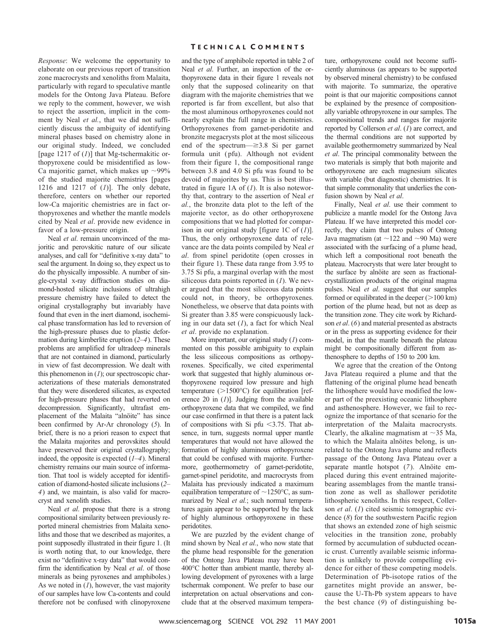*Response*: We welcome the opportunity to elaborate on our previous report of transition zone macrocrysts and xenoliths from Malaita, particularly with regard to speculative mantle models for the Ontong Java Plateau. Before we reply to the comment, however, we wish to reject the assertion, implicit in the comment by Neal *et al.*, that we did not sufficiently discuss the ambiguity of identifying mineral phases based on chemistry alone in our original study. Indeed, we concluded [page 1217 of (*1*)] that Mg-tschermakitic orthopyroxene could be misidentified as low-Ca majoritic garnet, which makes up  $\sim$ 99% of the studied majorite chemistries [pages 1216 and 1217 of (*1*)]. The only debate, therefore, centers on whether our reported low-Ca majoritic chemistries are in fact orthopyroxenes and whether the mantle models cited by Neal *et al*. provide new evidence in favor of a low-pressure origin.

Neal *et al*. remain unconvinced of the majoritic and perovskitic nature of our silicate analyses, and call for "definitive x-ray data" to seal the argument. In doing so, they expect us to do the physically impossible. A number of single-crystal x-ray diffraction studies on diamond-hosted silicate inclusions of ultrahigh pressure chemistry have failed to detect the original crystallography but invariably have found that even in the inert diamond, isochemical phase transformation has led to reversion of the high-pressure phases due to plastic deformation during kimberlite eruption (*2*–*4*). These problems are amplified for ultradeep minerals that are not contained in diamond, particularly in view of fast decompression. We dealt with this phenomenon in (*1*); our spectroscopic characterizations of these materials demonstrated that they were disordered silicates, as expected for high-pressure phases that had reverted on decompression. Significantly, ultrafast emplacement of the Malaita "alnöite" has since been confirmed by Ar-Ar chronology (*5*). In brief, there is no a priori reason to expect that the Malaita majorites and perovskites should have preserved their original crystallography; indeed, the opposite is expected (*1*–*4*). Mineral chemistry remains our main source of information. That tool is widely accepted for identification of diamond-hosted silicate inclusions (*2*– *4*) and, we maintain, is also valid for macrocryst and xenolith studies.

Neal *et al*. propose that there is a strong compositional similarity between previously reported mineral chemistries from Malaita xenoliths and those that we described as majorites, a point supposedly illustrated in their figure 1. (It is worth noting that, to our knowledge, there exist no "definitive x-ray data" that would confirm the identification by Neal *et al*. of those minerals as being pyroxenes and amphiboles.) As we noted in (*1*), however, the vast majority of our samples have low Ca-contents and could therefore not be confused with clinopyroxene

# T ECHNICAL C OMMENTS

and the type of amphibole reported in table 2 of Neal *et al*. Further, an inspection of the orthopyroxene data in their figure 1 reveals not only that the supposed colinearity on that diagram with the majorite chemistries that we reported is far from excellent, but also that the most aluminous orthopyroxenes could not nearly explain the full range in chemistries. Orthopyroxenes from garnet-peridotite and bronzite megacrysts plot at the most siliceous end of the spectrum— $\geq$ 3.8 Si per garnet formula unit (pfu). Although not evident from their figure 1, the compositional range between 3.8 and 4.0 Si pfu was found to be devoid of majorites by us. This is best illustrated in figure 1A of (*1*). It is also noteworthy that, contrary to the assertion of Neal *et al.*, the bronzite data plot to the left of the majorite vector, as do other orthopyroxene compositions that we had plotted for comparison in our original study [figure 1C of (*1*)]. Thus, the only orthopyroxene data of relevance are the data points compiled by Neal *et al*. from spinel peridotite (open crosses in their figure 1). These data range from 3.95 to 3.75 Si pfu, a marginal overlap with the most siliceous data points reported in (*1*). We never argued that the most siliceous data points could not, in theory, be orthopyroxenes. Nonetheless, we observe that data points with Si greater than 3.85 were conspicuously lacking in our data set (*1*), a fact for which Neal *et al*. provide no explanation.

More important, our original study (*1*) commented on this possible ambiguity to explain the less siliceous compositions as orthopyroxenes. Specifically, we cited experimental work that suggested that highly aluminous orthopyroxene required low pressure and high temperature  $(>1500^{\circ}C)$  for equilibration [reference 20 in (*1*)]. Judging from the available orthopyroxene data that we compiled, we find our case confirmed in that there is a patent lack of compositions with Si pfu  $\leq$ 3.75. That absence, in turn, suggests normal upper mantle temperatures that would not have allowed the formation of highly aluminous orthopyroxene that could be confused with majorite. Furthermore, geothermometry of garnet-peridotite, garnet-spinel peridotite, and macrocrysts from Malaita has previously indicated a maximum equilibration temperature of  $\sim$ 1250°C, as summarized by Neal *et al.*; such normal temperatures again appear to be supported by the lack of highly aluminous orthopyroxene in these peridotites.

We are puzzled by the evident change of mind shown by Neal *et al.*, who now state that the plume head responsible for the generation of the Ontong Java Plateau may have been 400°C hotter than ambient mantle, thereby allowing development of pyroxenes with a large tschermak component. We prefer to base our interpretation on actual observations and conclude that at the observed maximum tempera-

ture, orthopyroxene could not become sufficiently aluminous (as appears to be supported by observed mineral chemistry) to be confused with majorite. To summarize, the operative point is that our majoritic compositions cannot be explained by the presence of compositionally variable othropyroxene in our samples. The compositional trends and ranges for majorite reported by Collerson *et al*. (*1*) are correct, and the thermal conditions are not supported by available geothermometry summarized by Neal *et al*. The principal commonality between the two materials is simply that both majorite and orthopyroxene are each magnesium silicates with variable (but diagnostic) chemistries. It is that simple commonality that underlies the confusion shown by Neal *et al*.

Finally, Neal *et al*. use their comment to publicize a mantle model for the Ontong Java Plateau. If we have interpreted this model correctly, they claim that two pulses of Ontong Java magmatism (at  $\sim$ 122 and  $\sim$ 90 Ma) were associated with the surfacing of a plume head, which left a compositional root beneath the plateau. Macrocrysts that were later brought to the surface by alnoïte are seen as fractionalcrystallization products of the original magma pulses. Neal *et al*. suggest that our samples formed or equilibrated in the deeper  $(>100 \text{ km})$ portion of the plume head, but not as deep as the transition zone. They cite work by Richardson *et al*. (*6*) and material presented as abstracts or in the press as supporting evidence for their model, in that the mantle beneath the plateau might be compositionally different from asthenosphere to depths of 150 to 200 km.

We agree that the creation of the Ontong Java Plateau required a plume and that the flattening of the original plume head beneath the lithosphere would have modified the lower part of the preexisting oceanic lithosphere and asthenosphere. However, we fail to recognize the importance of that scenario for the interpretation of the Malaita macrocrysts. Clearly, the alkaline magmatism at  $\sim$ 35 Ma, to which the Malaita alnöites belong, is unrelated to the Ontong Java plume and reflects passage of the Ontong Java Plateau over a separate mantle hotspot (7). Alnöite emplaced during this event entrained majoritebearing assemblages from the mantle transition zone as well as shallower peridotite lithospheric xenoliths. In this respect, Collerson *et al*. (*1*) cited seismic tomographic evidence (*8*) for the southwestern Pacific region that shows an extended zone of high seismic velocities in the transition zone, probably formed by accumulation of subducted oceanic crust. Currently available seismic information is unlikely to provide compelling evidence for either of these competing models. Determination of Pb-isotope ratios of the garnetites might provide an answer, because the U-Th-Pb system appears to have the best chance (*9*) of distinguishing be-